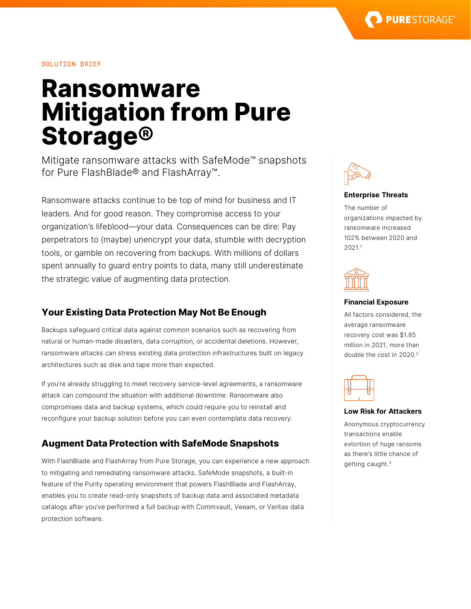

## SOLUTION BRIEF

# **Ransomware Mitigation from Pure Storage®**

Mitigate ransomware attacks with SafeMode™ snapshots for Pure FlashBlade® and FlashArray™.

Ransomware attacks continue to be top of mind for business and IT leaders. And for good reason. They compromise access to your organization's lifeblood—your data. Consequences can be dire: Pay perpetrators to (maybe) unencrypt your data, stumble with decryption tools, or gamble on recovering from backups. With millions of dollars spent annually to guard entry points to data, many still underestimate the strategic value of augmenting data protection.

## **Your Existing Data Protection May Not Be Enough**

Backups safeguard critical data against common scenarios such as recovering from natural or human-made disasters, data corruption, or accidental deletions. However, ransomware attacks can stress existing data protection infrastructures built on legacy architectures such as disk and tape more than expected.

If you're already struggling to meet recovery service-level agreements, a ransomware attack can compound the situation with additional downtime. Ransomware also compromises data and backup systems, which could require you to reinstall and reconfigure your backup solution before you can even contemplate data recovery.

# **Augment Data Protection with SafeMode Snapshots**

With FlashBlade and FlashArray from Pure Storage, you can experience a new approach to mitigating and remediating ransomware attacks. SafeMode snapshots, a built-in feature of the Purity operating environment that powers FlashBlade and FlashArray, enables you to create read-only snapshots of backup data and associated metadata catalogs after you've performed a full backup with Commvault, Veeam, or Veritas data protection software.



#### **Enterprise Threats**

The number of organizations impacted by ransomware increased 102% between 2020 and 2021. 1



#### **Financial Exposure**

All factors considered, the average ransomware recovery cost was \$1.85 million in 2021, more than double the cost in 2020.<sup>2</sup>



#### **Low Risk for Attackers**

Anonymous cryptocurrency transactions enable extortion of huge ransoms as there's little chance of getting caught.3